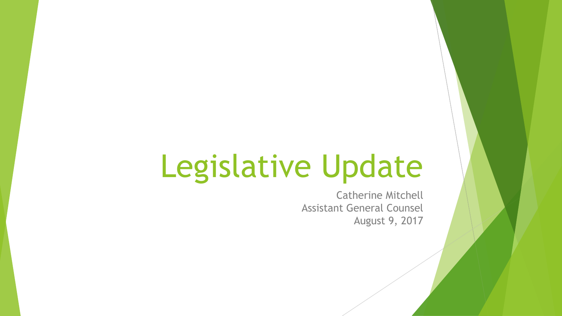# Legislative Update

Catherine Mitchell Assistant General Counsel August 9, 2017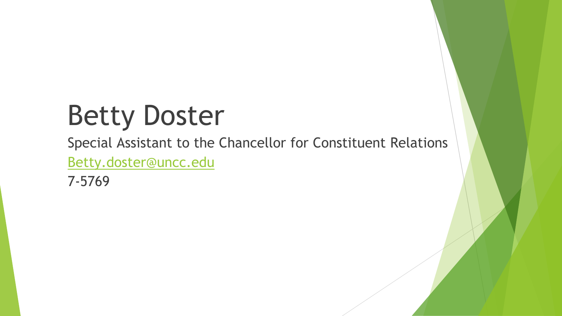# Betty Doster

Special Assistant to the Chancellor for Constituent Relations [Betty.doster@uncc.edu](mailto:Betty.doster@uncc.edu)

7-5769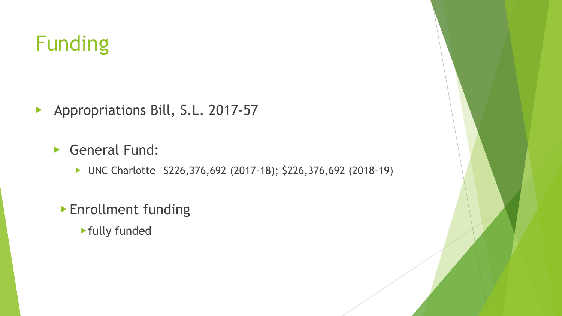# Funding

▶ Appropriations Bill, S.L. 2017-57

▶ General Fund:

▶ UNC Charlotte—\$226,376,692 (2017-18); \$226,376,692 (2018-19)

▶ Enrollment funding

▶fully funded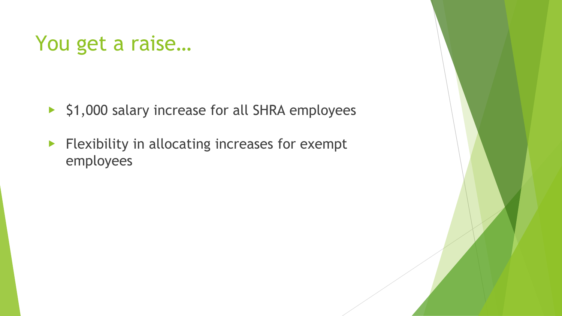### You get a raise…

- ▶ \$1,000 salary increase for all SHRA employees
- ▶ Flexibility in allocating increases for exempt employees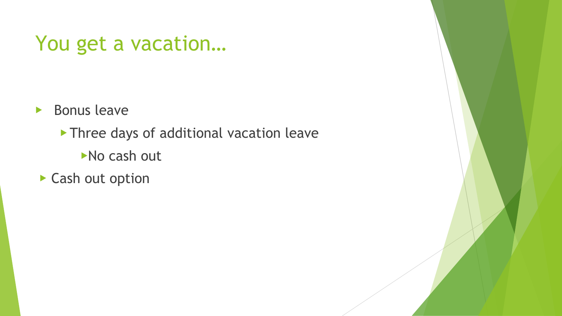### You get a vacation…

- ▶ Bonus leave
	- ▶ Three days of additional vacation leave
		- ▶No cash out
- ▶ Cash out option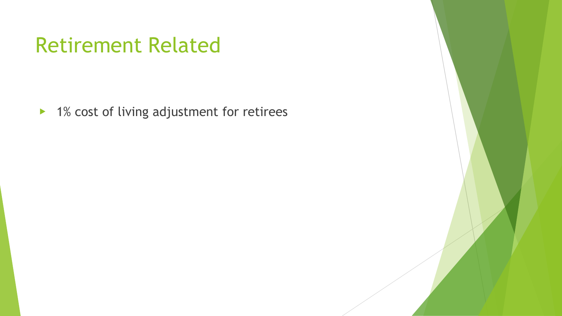### Retirement Related

▶ 1% cost of living adjustment for retirees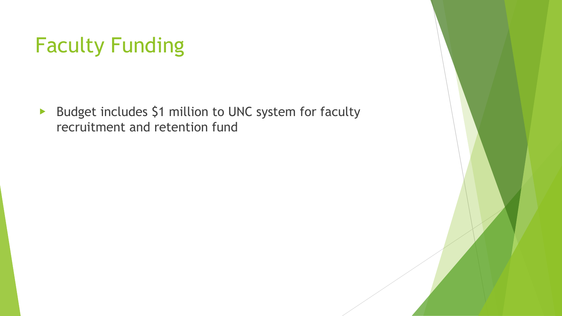# Faculty Funding

▶ Budget includes \$1 million to UNC system for faculty recruitment and retention fund

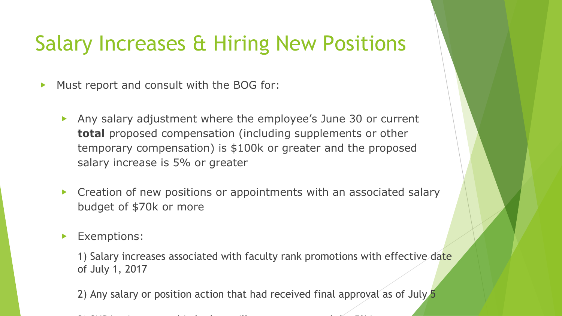### Salary Increases & Hiring New Positions

▶ Must report and consult with the BOG for:

- ▶ Any salary adjustment where the employee's June 30 or current **total** proposed compensation (including supplements or other temporary compensation) is \$100k or greater and the proposed salary increase is 5% or greater
- ▶ Creation of new positions or appointments with an associated salary budget of \$70k or more
- ▶ Exemptions:

1) Salary increases associated with faculty rank promotions with effective date of July 1, 2017

2) Any salary or position action that had received final approval as of July 5

 $\sim$  shearing in budget will not count toward the 5% in budget will not count toward the 5% increases in the 5% increases in the 5% increases in the 5% increases in the 5% increases in the 5% increases in the 5% increases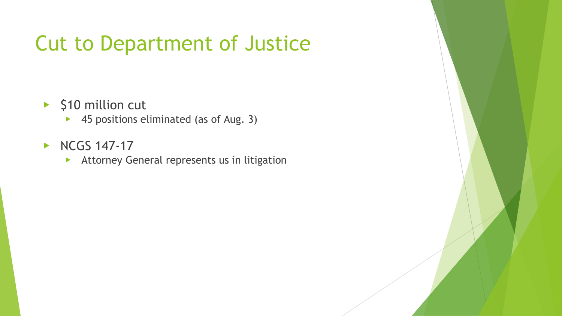# Cut to Department of Justice

- ▶ \$10 million cut
	- ▶ 45 positions eliminated (as of Aug. 3)
- ▶ NCGS 147-17
	- ▶ Attorney General represents us in litigation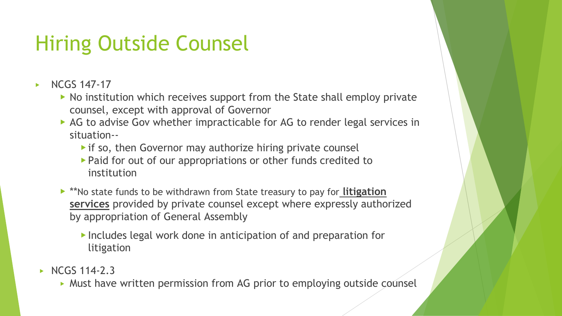# Hiring Outside Counsel

- ▶ NCGS 147-17
	- ▶ No institution which receives support from the State shall employ private counsel, except with approval of Governor
	- ▶ AG to advise Gov whether impracticable for AG to render legal services in situation--
		- ▶ if so, then Governor may authorize hiring private counsel
		- ▶ Paid for out of our appropriations or other funds credited to institution
	- ▶ \*\*No state funds to be withdrawn from State treasury to pay for **litigation services** provided by private counsel except where expressly authorized by appropriation of General Assembly
		- ▶ Includes legal work done in anticipation of and preparation for litigation
- $\triangleright$  NCGS 114-2.3
	- ▶ Must have written permission from AG prior to employing outside counsel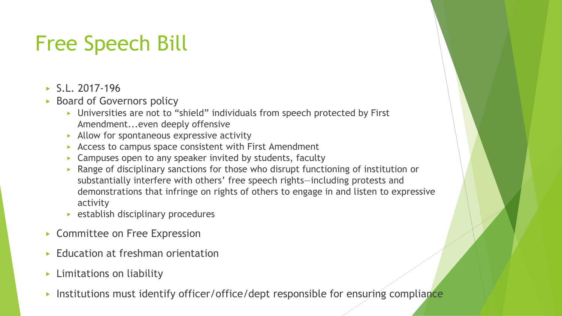# Free Speech Bill

- $\triangleright$  S.L. 2017-196
- ▶ Board of Governors policy
	- ▶ Universities are not to "shield" individuals from speech protected by First Amendment...even deeply offensive
	- $\triangleright$  Allow for spontaneous expressive activity
	- $\triangleright$  Access to campus space consistent with First Amendment
	- $\triangleright$  Campuses open to any speaker invited by students, faculty
	- ▶ Range of disciplinary sanctions for those who disrupt functioning of institution or substantially interfere with others' free speech rights—including protests and demonstrations that infringe on rights of others to engage in and listen to expressive activity
	- $\triangleright$  establish disciplinary procedures
- ▶ Committee on Free Expression
- **Education at freshman orientation**
- ▶ Limitations on liability
- Institutions must identify officer/office/dept responsible for ensuring compliance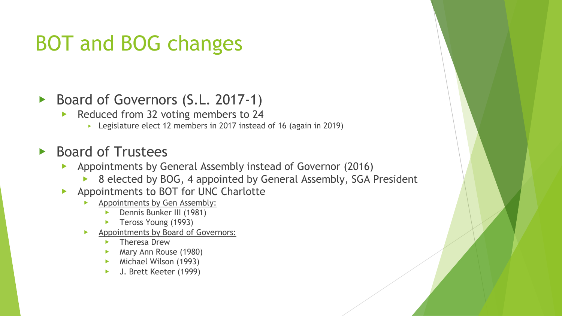# BOT and BOG changes

#### ▶ Board of Governors (S.L. 2017-1)

- ▶ Reduced from 32 voting members to 24
	- ▶ Legislature elect 12 members in 2017 instead of 16 (again in 2019)

#### ▶ Board of Trustees

- ▶ Appointments by General Assembly instead of Governor (2016)
	- ▶ 8 elected by BOG, 4 appointed by General Assembly, SGA President
- ▶ Appointments to BOT for UNC Charlotte
	- Appointments by Gen Assembly:
		- Dennis Bunker III (1981)
		- Teross Young (1993)
	- Appointments by Board of Governors:
		- **Theresa Drew**
		- ▶ Mary Ann Rouse (1980)
		- ▶ Michael Wilson (1993)
		- J. Brett Keeter (1999)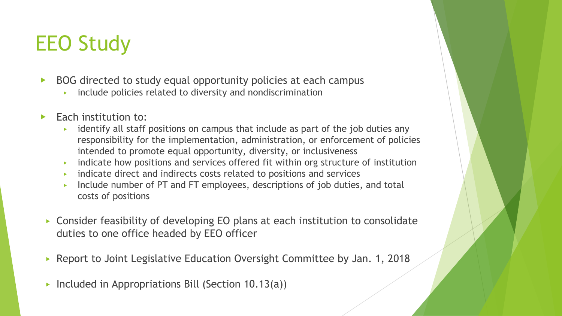# EEO Study

- ▶ BOG directed to study equal opportunity policies at each campus
	- include policies related to diversity and nondiscrimination
- $\blacktriangleright$  Each institution to:
	- ▶ identify all staff positions on campus that include as part of the job duties any responsibility for the implementation, administration, or enforcement of policies intended to promote equal opportunity, diversity, or inclusiveness
	- ▶ indicate how positions and services offered fit within org structure of institution
	- ▶ indicate direct and indirects costs related to positions and services
	- Include number of PT and FT employees, descriptions of job duties, and total costs of positions
- ▶ Consider feasibility of developing EO plans at each institution to consolidate duties to one office headed by EEO officer
- Report to Joint Legislative Education Oversight Committee by Jan. 1, 2018
- Included in Appropriations Bill (Section  $10.13(a)$ )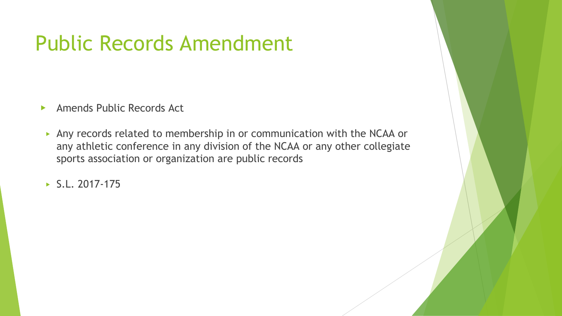### Public Records Amendment

- ▶ Amends Public Records Act
- ▶ Any records related to membership in or communication with the NCAA or any athletic conference in any division of the NCAA or any other collegiate sports association or organization are public records
- $\triangleright$  S.L. 2017-175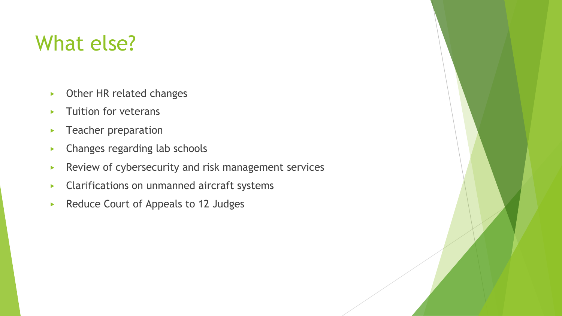### What else?

- ▶ Other HR related changes
- ▶ Tuition for veterans
- **F** Teacher preparation
- ▶ Changes regarding lab schools
- ▶ Review of cybersecurity and risk management services
- ▶ Clarifications on unmanned aircraft systems
- ▶ Reduce Court of Appeals to 12 Judges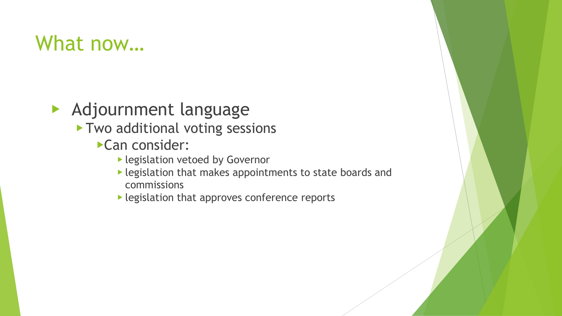### What now…

▶ Adjournment language

- ▶ Two additional voting sessions
	- ▶Can consider:
		- ▶ legislation vetoed by Governor
		- ▶ legislation that makes appointments to state boards and commissions
		- ▶ legislation that approves conference reports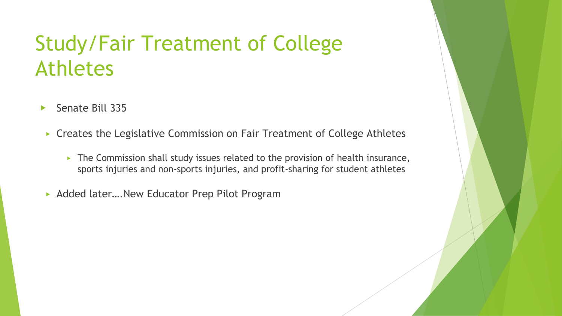### Study/Fair Treatment of College Athletes

- ▶ Senate Bill 335
- ▶ Creates the Legislative Commission on Fair Treatment of College Athletes
	- $\triangleright$  The Commission shall study issues related to the provision of health insurance, sports injuries and non-sports injuries, and profit-sharing for student athletes
- ▶ Added later....New Educator Prep Pilot Program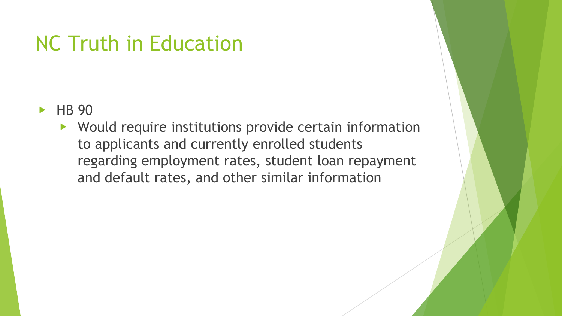### NC Truth in Education

- ▶ HB 90
	- ▶ Would require institutions provide certain information to applicants and currently enrolled students regarding employment rates, student loan repayment and default rates, and other similar information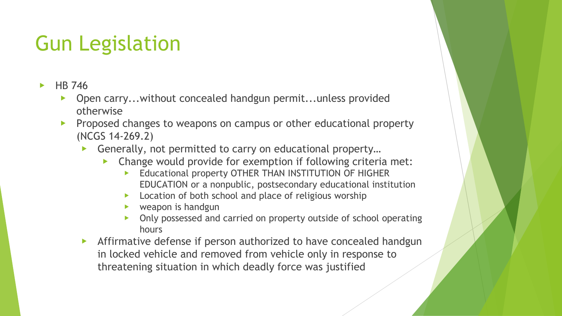# Gun Legislation

- $\blacktriangleright$  HB 746
	- Open carry...without concealed handgun permit...unless provided otherwise
	- ▶ Proposed changes to weapons on campus or other educational property (NCGS 14-269.2)
		- Generally, not permitted to carry on educational property...
			- Change would provide for exemption if following criteria met:
				- Educational property OTHER THAN INSTITUTION OF HIGHER EDUCATION or a nonpublic, postsecondary educational institution
				- Location of both school and place of religious worship
				- weapon is handgun
				- Only possessed and carried on property outside of school operating hours
		- Affirmative defense if person authorized to have concealed handgun in locked vehicle and removed from vehicle only in response to threatening situation in which deadly force was justified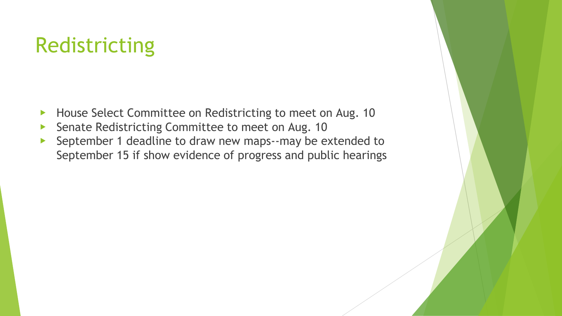### Redistricting

- ▶ House Select Committee on Redistricting to meet on Aug. 10
- ▶ Senate Redistricting Committee to meet on Aug. 10
- ▶ September 1 deadline to draw new maps--may be extended to September 15 if show evidence of progress and public hearings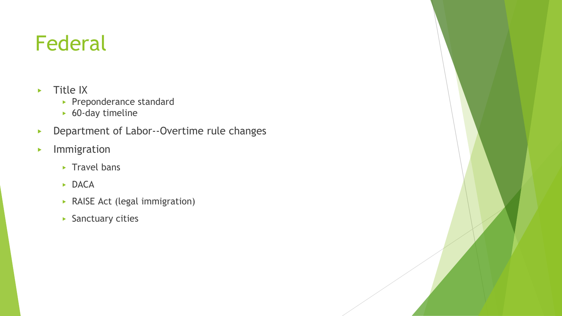# Federal

- ▶ Title IX
	- ▶ Preponderance standard
	- $\triangleright$  60-day timeline
- ▶ Department of Labor--Overtime rule changes
- ▶ Immigration
	- $\triangleright$  Travel bans
	- ▶ DACA
	- ▶ RAISE Act (legal immigration)
	- ▶ Sanctuary cities